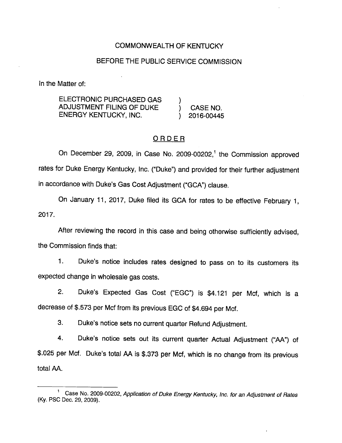# COMMONWEALTH OF KENTUCKY

#### BEFORE THE PUBLIC SERVICE COMMISSION

In the Matter of:

ELECTRONIC PURCHASED GAS ) ADJUSTMENT FILING OF DUKE ) CASE NO. ENERGY KENTUCKY, INC. (2016-00445)

# ORDER

On December 29, 2009, in Case No. 2009-00202,<sup>1</sup> the Commission approved rates for Duke Energy Kentucky, Inc. ("Duke") and provided for their further adjustment in accordance with Duke's Gas Cost Adjustment ("GCA") clause.

On January 11, 2017, Duke filed its GCA for rates to be effective February 1, 2017.

After reviewing the record in this case and being otherwise sufficiently advised, the Commission finds that:

1. Duke's notice includes rates designed to pass on to its customers its expected change in wholesale gas costs.

2. Duke's Expected Gas Cost ("EGC") Is \$4,121 per Mcf, which is a decrease of \$.573 per Mcf from its previous EGC of \$4,694 per Mcf.

3. Duke's notice sets no current quarter Refund Adjustment.

4. Duke's notice sets out its current quarter Actual Adjustment ("AA") of \$.025 per Mcf. Duke's total AA is \$.373 per Mcf, which is no change from its previous total AA.

<sup>&</sup>lt;sup>1</sup> Case No. 2009-00202, Application of Duke Energy Kentucky, Inc. for an Adjustment of Rates (Ky. PSC Dec. 29, 2009).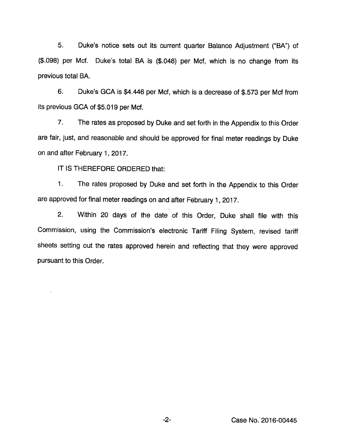5. Duke's notice sets out its current quarter Balance Adjustment ("BA") of (\$.098) per Met. Duke's total BA is (\$.048) per Met, which is no change from its previous total BA.

6. Duke's GCA is \$4,446 per Mcf, which is a decrease of \$.573 per Mcf from its previous GCA of \$5,019 per Mcf.

7. The rates as proposed by Duke and set forth in the Appendix to this Order are fair, just, and reasonable and should be approved for final meter readings by Duke on and after February 1, 2017.

IT IS THEREFORE ORDERED that:

 $\ddot{\phantom{a}}$ 

1. The rates proposed by Duke and set forth in the Appendix to this Order are approved for final meter readings on and after February 1, 2017.

2. Within 20 days of the date of this Order, Duke shall file with this Commission, using the Commission's electronic Tariff Filing System, revised tariff sheets setting out the rates approved herein and reflecting that they were approved pursuant to this Order.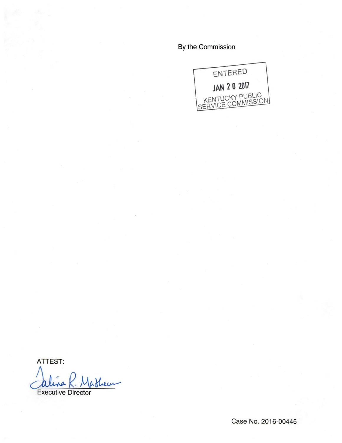By the Commission



ATTEST:

Shew na

Executive Director

Case No. 2016-00445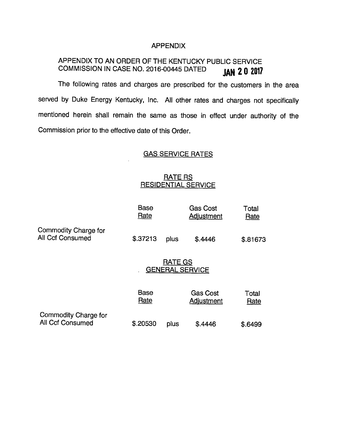#### APPENDIX

# APPENDIX TO AN ORDER OF THE KENTUCKY PUBLIC SERVICE COMMISSION IN CASE NO. 2016-00445 DATED **JAN 2 0 2017**

The following rates and charges are prescribed for the customers in the area served by Duke Energy Kentucky, Inc. All other rates and charges not specifically mentioned herein shall remain the same as those in effect under authority of the Commission prior to the effective date of this Order.

## GAS SERVICE RATES

# RATE RS RESIDENTIAL SERVICE

|                                                 | <b>Base</b><br>Rate                      |      | <b>Gas Cost</b><br>Adjustment | Total<br>Rate |
|-------------------------------------------------|------------------------------------------|------|-------------------------------|---------------|
| Commodity Charge for<br>All Ccf Consumed        | \$.37213                                 | plus | \$.4446                       | \$.81673      |
|                                                 | <b>RATE GS</b><br><b>GENERAL SERVICE</b> |      |                               |               |
|                                                 | <b>Base</b><br>Rate                      |      | <b>Gas Cost</b><br>Adjustment | Total<br>Rate |
| Commodity Charge for<br><b>All Ccf Consumed</b> | \$.20530                                 | plus | \$.4446                       | \$.6499       |